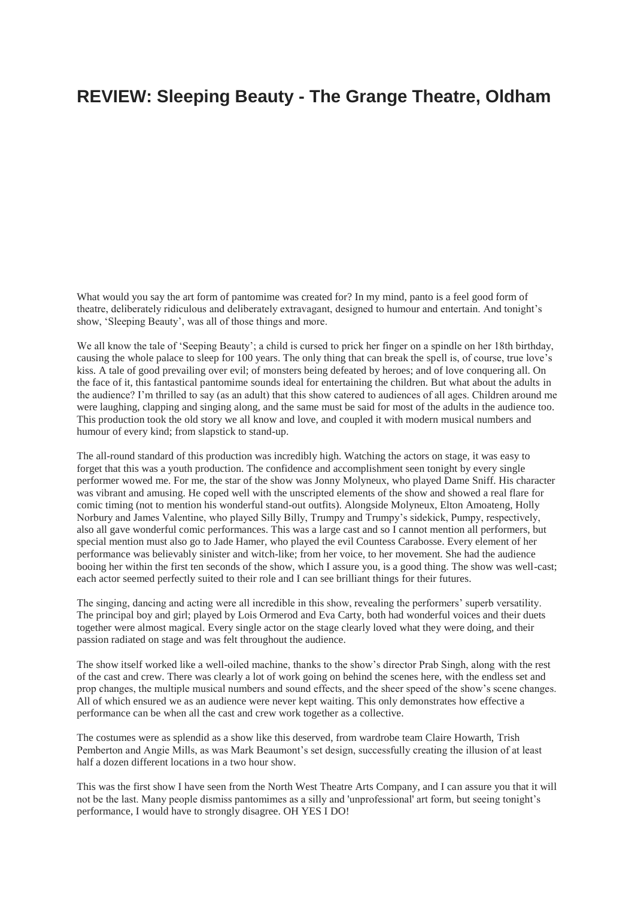## **REVIEW: Sleeping Beauty - The Grange Theatre, Oldham**

What would you say the art form of pantomime was created for? In my mind, panto is a feel good form of theatre, deliberately ridiculous and deliberately extravagant, designed to humour and entertain. And tonight's show, 'Sleeping Beauty', was all of those things and more.

We all know the tale of 'Seeping Beauty'; a child is cursed to prick her finger on a spindle on her 18th birthday, causing the whole palace to sleep for 100 years. The only thing that can break the spell is, of course, true love's kiss. A tale of good prevailing over evil; of monsters being defeated by heroes; and of love conquering all. On the face of it, this fantastical pantomime sounds ideal for entertaining the children. But what about the adults in the audience? I'm thrilled to say (as an adult) that this show catered to audiences of all ages. Children around me were laughing, clapping and singing along, and the same must be said for most of the adults in the audience too. This production took the old story we all know and love, and coupled it with modern musical numbers and humour of every kind; from slapstick to stand-up.

The all-round standard of this production was incredibly high. Watching the actors on stage, it was easy to forget that this was a youth production. The confidence and accomplishment seen tonight by every single performer wowed me. For me, the star of the show was Jonny Molyneux, who played Dame Sniff. His character was vibrant and amusing. He coped well with the unscripted elements of the show and showed a real flare for comic timing (not to mention his wonderful stand-out outfits). Alongside Molyneux, Elton Amoateng, Holly Norbury and James Valentine, who played Silly Billy, Trumpy and Trumpy's sidekick, Pumpy, respectively, also all gave wonderful comic performances. This was a large cast and so I cannot mention all performers, but special mention must also go to Jade Hamer, who played the evil Countess Carabosse. Every element of her performance was believably sinister and witch-like; from her voice, to her movement. She had the audience booing her within the first ten seconds of the show, which I assure you, is a good thing. The show was well-cast; each actor seemed perfectly suited to their role and I can see brilliant things for their futures.

The singing, dancing and acting were all incredible in this show, revealing the performers' superb versatility. The principal boy and girl; played by Lois Ormerod and Eva Carty, both had wonderful voices and their duets together were almost magical. Every single actor on the stage clearly loved what they were doing, and their passion radiated on stage and was felt throughout the audience.

The show itself worked like a well-oiled machine, thanks to the show's director Prab Singh, along with the rest of the cast and crew. There was clearly a lot of work going on behind the scenes here, with the endless set and prop changes, the multiple musical numbers and sound effects, and the sheer speed of the show's scene changes. All of which ensured we as an audience were never kept waiting. This only demonstrates how effective a performance can be when all the cast and crew work together as a collective.

The costumes were as splendid as a show like this deserved, from wardrobe team Claire Howarth, Trish Pemberton and Angie Mills, as was Mark Beaumont's set design, successfully creating the illusion of at least half a dozen different locations in a two hour show.

This was the first show I have seen from the North West Theatre Arts Company, and I can assure you that it will not be the last. Many people dismiss pantomimes as a silly and 'unprofessional' art form, but seeing tonight's performance, I would have to strongly disagree. OH YES I DO!